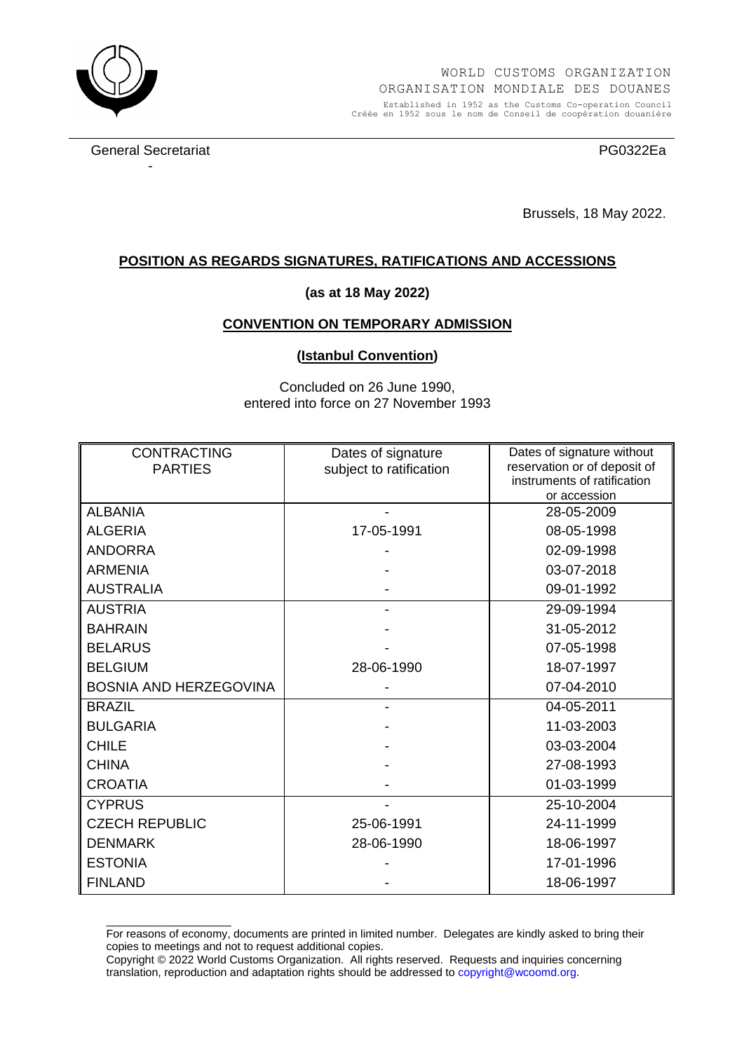

General Secretariat **PG0322Ea** -

\_\_\_\_\_\_\_\_\_\_\_\_\_\_\_\_\_\_\_\_

Brussels, 18 May 2022.

## **POSITION AS REGARDS SIGNATURES, RATIFICATIONS AND ACCESSIONS**

## **(as at 18 May 2022)**

### **CONVENTION ON TEMPORARY ADMISSION**

### **(Istanbul Convention)**

Concluded on 26 June 1990, entered into force on 27 November 1993

| <b>CONTRACTING</b><br><b>PARTIES</b> | Dates of signature<br>subject to ratification | Dates of signature without<br>reservation or of deposit of |
|--------------------------------------|-----------------------------------------------|------------------------------------------------------------|
|                                      |                                               | instruments of ratification                                |
|                                      |                                               | or accession                                               |
| <b>ALBANIA</b>                       |                                               | 28-05-2009                                                 |
| <b>ALGERIA</b>                       | 17-05-1991                                    | 08-05-1998                                                 |
| <b>ANDORRA</b>                       |                                               | 02-09-1998                                                 |
| <b>ARMENIA</b>                       |                                               | 03-07-2018                                                 |
| <b>AUSTRALIA</b>                     |                                               | 09-01-1992                                                 |
| <b>AUSTRIA</b>                       |                                               | 29-09-1994                                                 |
| <b>BAHRAIN</b>                       |                                               | 31-05-2012                                                 |
| <b>BELARUS</b>                       |                                               | 07-05-1998                                                 |
| <b>BELGIUM</b>                       | 28-06-1990                                    | 18-07-1997                                                 |
| <b>BOSNIA AND HERZEGOVINA</b>        |                                               | 07-04-2010                                                 |
| <b>BRAZIL</b>                        |                                               | 04-05-2011                                                 |
| <b>BULGARIA</b>                      |                                               | 11-03-2003                                                 |
| <b>CHILE</b>                         |                                               | 03-03-2004                                                 |
| <b>CHINA</b>                         |                                               | 27-08-1993                                                 |
| <b>CROATIA</b>                       |                                               | 01-03-1999                                                 |
| <b>CYPRUS</b>                        |                                               | 25-10-2004                                                 |
| <b>CZECH REPUBLIC</b>                | 25-06-1991                                    | 24-11-1999                                                 |
| <b>DENMARK</b>                       | 28-06-1990                                    | 18-06-1997                                                 |
| <b>ESTONIA</b>                       |                                               | 17-01-1996                                                 |
| <b>FINLAND</b>                       |                                               | 18-06-1997                                                 |

For reasons of economy, documents are printed in limited number. Delegates are kindly asked to bring their copies to meetings and not to request additional copies.

Copyright © 2022 World Customs Organization. All rights reserved. Requests and inquiries concerning translation, reproduction and adaptation rights should be addressed t[o copyright@wcoomd.org.](mailto:copyright@wcoomd.org)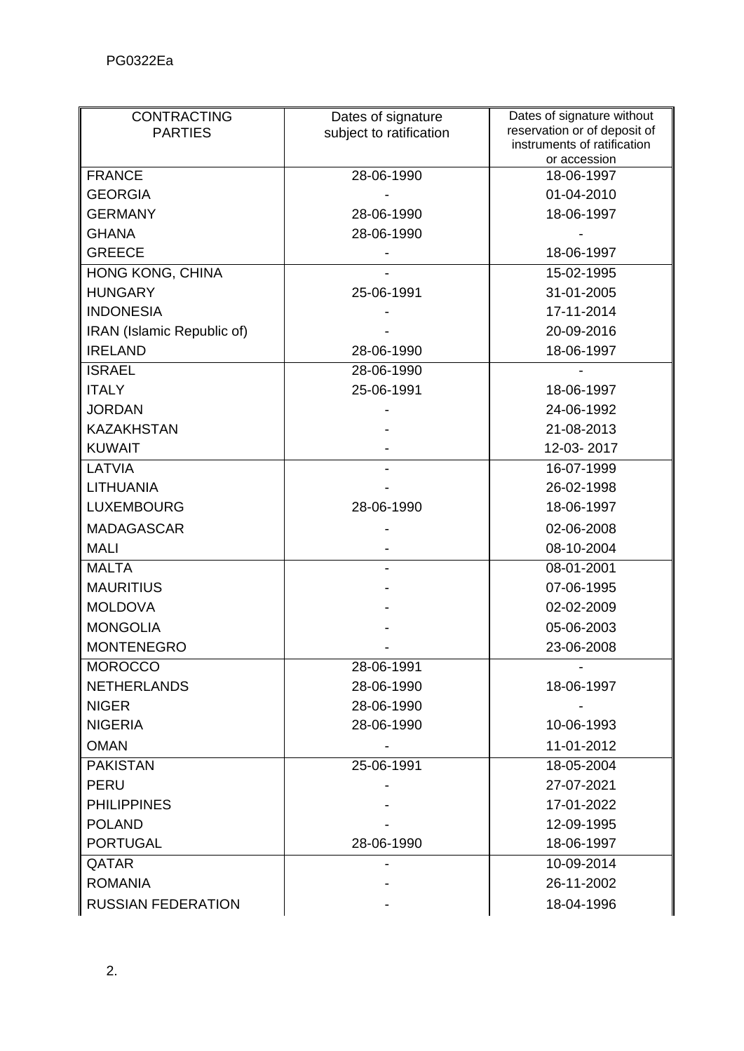| <b>CONTRACTING</b><br><b>PARTIES</b> | Dates of signature<br>subject to ratification | Dates of signature without<br>reservation or of deposit of<br>instruments of ratification<br>or accession |
|--------------------------------------|-----------------------------------------------|-----------------------------------------------------------------------------------------------------------|
| <b>FRANCE</b>                        | 28-06-1990                                    | 18-06-1997                                                                                                |
| <b>GEORGIA</b>                       |                                               | 01-04-2010                                                                                                |
| <b>GERMANY</b>                       | 28-06-1990                                    | 18-06-1997                                                                                                |
| <b>GHANA</b>                         | 28-06-1990                                    |                                                                                                           |
| <b>GREECE</b>                        |                                               | 18-06-1997                                                                                                |
| HONG KONG, CHINA                     |                                               | 15-02-1995                                                                                                |
| <b>HUNGARY</b>                       | 25-06-1991                                    | 31-01-2005                                                                                                |
| <b>INDONESIA</b>                     |                                               | 17-11-2014                                                                                                |
| IRAN (Islamic Republic of)           |                                               | 20-09-2016                                                                                                |
| <b>IRELAND</b>                       | 28-06-1990                                    | 18-06-1997                                                                                                |
| <b>ISRAEL</b>                        | 28-06-1990                                    |                                                                                                           |
| <b>ITALY</b>                         | 25-06-1991                                    | 18-06-1997                                                                                                |
| <b>JORDAN</b>                        |                                               | 24-06-1992                                                                                                |
| <b>KAZAKHSTAN</b>                    |                                               | 21-08-2013                                                                                                |
| <b>KUWAIT</b>                        |                                               | 12-03-2017                                                                                                |
| LATVIA                               |                                               | 16-07-1999                                                                                                |
| <b>LITHUANIA</b>                     |                                               | 26-02-1998                                                                                                |
| <b>LUXEMBOURG</b>                    | 28-06-1990                                    | 18-06-1997                                                                                                |
| <b>MADAGASCAR</b>                    |                                               | 02-06-2008                                                                                                |
| <b>MALI</b>                          |                                               | 08-10-2004                                                                                                |
| <b>MALTA</b>                         |                                               | 08-01-2001                                                                                                |
| <b>MAURITIUS</b>                     |                                               | 07-06-1995                                                                                                |
| <b>MOLDOVA</b>                       |                                               | 02-02-2009                                                                                                |
| <b>MONGOLIA</b>                      |                                               | 05-06-2003                                                                                                |
| <b>MONTENEGRO</b>                    |                                               | 23-06-2008                                                                                                |
| <b>MOROCCO</b>                       | 28-06-1991                                    |                                                                                                           |
| <b>NETHERLANDS</b>                   | 28-06-1990                                    | 18-06-1997                                                                                                |
| <b>NIGER</b>                         | 28-06-1990                                    |                                                                                                           |
| <b>NIGERIA</b>                       | 28-06-1990                                    | 10-06-1993                                                                                                |
| <b>OMAN</b>                          |                                               | 11-01-2012                                                                                                |
| <b>PAKISTAN</b>                      | 25-06-1991                                    | 18-05-2004                                                                                                |
| <b>PERU</b>                          |                                               | 27-07-2021                                                                                                |
| <b>PHILIPPINES</b>                   |                                               | 17-01-2022                                                                                                |
| <b>POLAND</b>                        |                                               | 12-09-1995                                                                                                |
| <b>PORTUGAL</b>                      | 28-06-1990                                    | 18-06-1997                                                                                                |
| <b>QATAR</b>                         |                                               | 10-09-2014                                                                                                |
| <b>ROMANIA</b>                       |                                               | 26-11-2002                                                                                                |
| <b>RUSSIAN FEDERATION</b>            |                                               | 18-04-1996                                                                                                |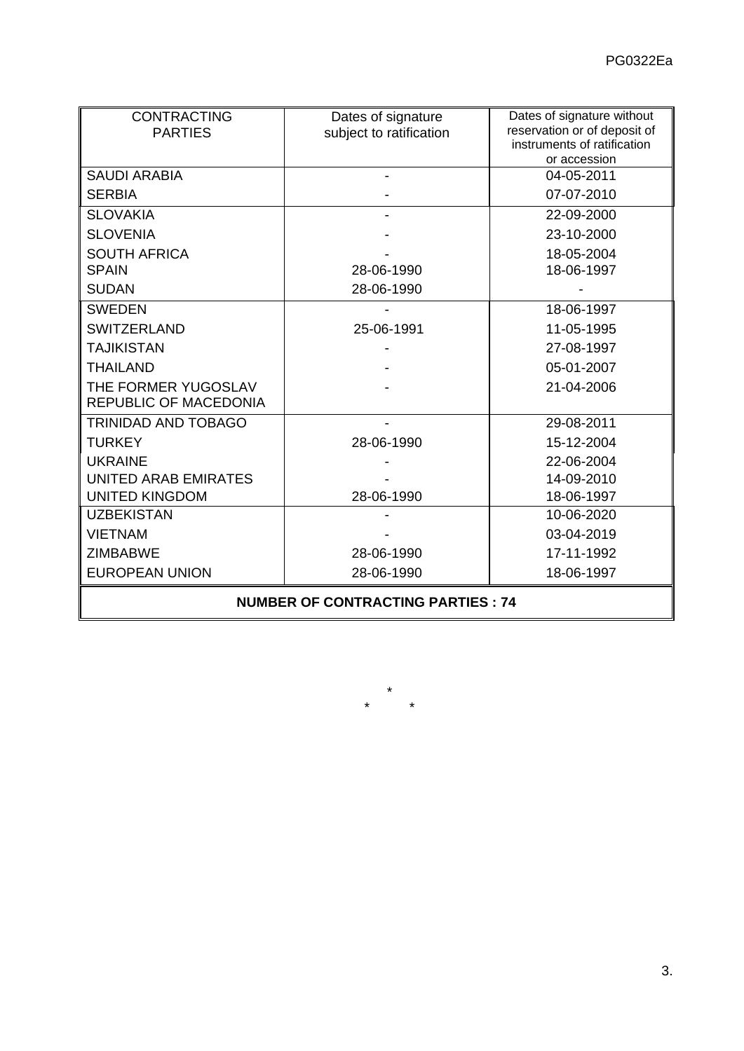| <b>CONTRACTING</b><br><b>PARTIES</b>         | Dates of signature<br>subject to ratification | Dates of signature without<br>reservation or of deposit of<br>instruments of ratification<br>or accession |  |  |  |  |  |  |  |  |  |
|----------------------------------------------|-----------------------------------------------|-----------------------------------------------------------------------------------------------------------|--|--|--|--|--|--|--|--|--|
| <b>SAUDI ARABIA</b>                          |                                               | 04-05-2011                                                                                                |  |  |  |  |  |  |  |  |  |
| <b>SERBIA</b>                                |                                               | 07-07-2010                                                                                                |  |  |  |  |  |  |  |  |  |
| <b>SLOVAKIA</b>                              |                                               | 22-09-2000                                                                                                |  |  |  |  |  |  |  |  |  |
| <b>SLOVENIA</b>                              |                                               | 23-10-2000                                                                                                |  |  |  |  |  |  |  |  |  |
| <b>SOUTH AFRICA</b><br><b>SPAIN</b>          | 28-06-1990                                    | 18-05-2004<br>18-06-1997                                                                                  |  |  |  |  |  |  |  |  |  |
| <b>SUDAN</b>                                 | 28-06-1990                                    |                                                                                                           |  |  |  |  |  |  |  |  |  |
| <b>SWEDEN</b>                                |                                               | 18-06-1997                                                                                                |  |  |  |  |  |  |  |  |  |
| <b>SWITZERLAND</b>                           | 25-06-1991                                    | 11-05-1995                                                                                                |  |  |  |  |  |  |  |  |  |
| <b>TAJIKISTAN</b>                            |                                               | 27-08-1997                                                                                                |  |  |  |  |  |  |  |  |  |
| <b>THAILAND</b>                              |                                               | 05-01-2007                                                                                                |  |  |  |  |  |  |  |  |  |
| THE FORMER YUGOSLAV<br>REPUBLIC OF MACEDONIA |                                               | 21-04-2006                                                                                                |  |  |  |  |  |  |  |  |  |
| <b>TRINIDAD AND TOBAGO</b>                   |                                               | 29-08-2011                                                                                                |  |  |  |  |  |  |  |  |  |
| <b>TURKEY</b>                                | 28-06-1990                                    | 15-12-2004                                                                                                |  |  |  |  |  |  |  |  |  |
| <b>UKRAINE</b>                               |                                               | 22-06-2004                                                                                                |  |  |  |  |  |  |  |  |  |
| <b>UNITED ARAB EMIRATES</b>                  |                                               | 14-09-2010                                                                                                |  |  |  |  |  |  |  |  |  |
| <b>UNITED KINGDOM</b>                        | 28-06-1990                                    | 18-06-1997                                                                                                |  |  |  |  |  |  |  |  |  |
| <b>UZBEKISTAN</b>                            |                                               | 10-06-2020                                                                                                |  |  |  |  |  |  |  |  |  |
| <b>VIETNAM</b>                               |                                               | 03-04-2019                                                                                                |  |  |  |  |  |  |  |  |  |
| <b>ZIMBABWE</b>                              | 28-06-1990                                    | 17-11-1992                                                                                                |  |  |  |  |  |  |  |  |  |
| <b>EUROPEAN UNION</b>                        | 28-06-1990                                    | 18-06-1997                                                                                                |  |  |  |  |  |  |  |  |  |
|                                              | <b>NUMBER OF CONTRACTING PARTIES: 74</b>      |                                                                                                           |  |  |  |  |  |  |  |  |  |

\* \* \*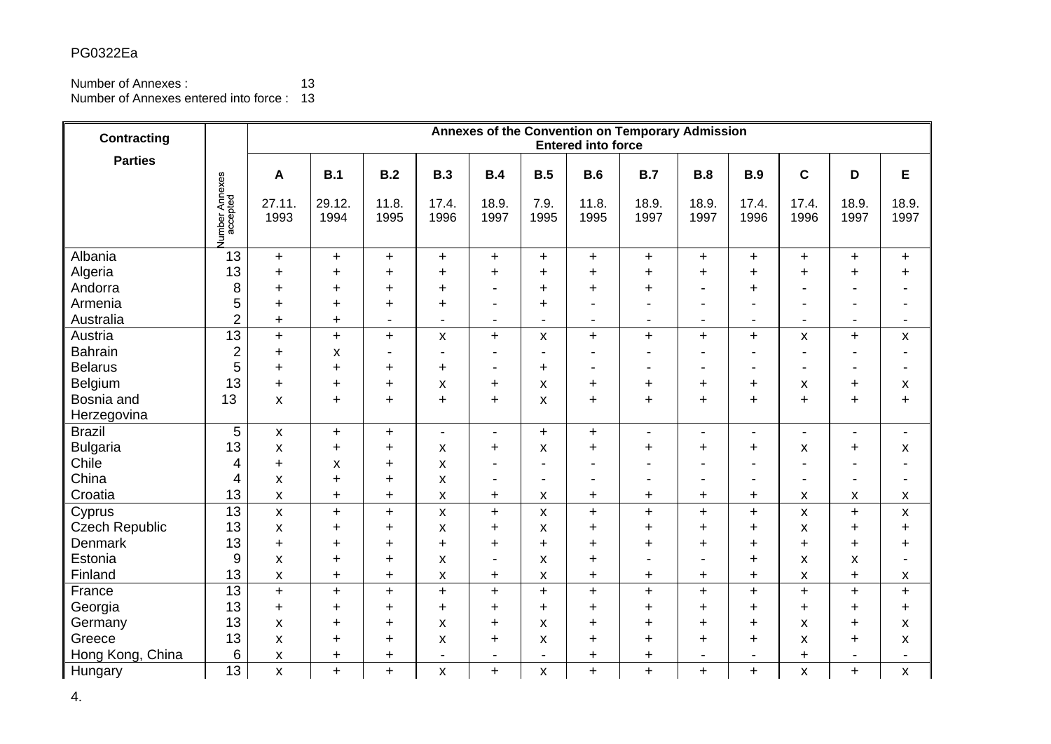# PG0322Ea

#### Number of Annexes : 13 Number of Annexes entered into force : 13

| Contracting           |                                   | Annexes of the Convention on Temporary Admission<br><b>Entered into force</b> |                |                |                          |                          |                           |                          |                          |                          |                          |                           |                          |                          |
|-----------------------|-----------------------------------|-------------------------------------------------------------------------------|----------------|----------------|--------------------------|--------------------------|---------------------------|--------------------------|--------------------------|--------------------------|--------------------------|---------------------------|--------------------------|--------------------------|
| <b>Parties</b>        |                                   |                                                                               |                |                |                          |                          |                           |                          |                          |                          |                          |                           |                          |                          |
|                       |                                   | A                                                                             | B.1            | B.2            | <b>B.3</b>               | B.4                      | B.5                       | B.6                      | B.7                      | <b>B.8</b>               | <b>B.9</b>               | $\mathbf{C}$              | D                        | E                        |
|                       | <b>Jumber Annexes</b><br>accepted | 27.11.<br>1993                                                                | 29.12.<br>1994 | 11.8.<br>1995  | 17.4.<br>1996            | 18.9.<br>1997            | 7.9.<br>1995              | 11.8.<br>1995            | 18.9.<br>1997            | 18.9.<br>1997            | 17.4.<br>1996            | 17.4.<br>1996             | 18.9.<br>1997            | 18.9.<br>1997            |
| Albania               | 13                                | $\ddot{}$                                                                     | $+$            | $\ddot{}$      | $\ddot{}$                | $+$                      | $+$                       | $+$                      | $+$                      | $+$                      | $\ddot{}$                | $+$                       | $\ddot{}$                | $\ddot{}$                |
| Algeria               | 13                                | $\ddot{}$                                                                     | $\ddot{}$      | $\ddot{}$      | $\ddot{}$                | $\ddot{}$                | $\ddot{}$                 | $\ddot{}$                | $+$                      | $\ddot{}$                | $\ddot{}$                | $\ddot{}$                 | $\ddot{}$                | $\ddot{}$                |
| Andorra               | 8                                 | $\ddot{}$                                                                     | $\ddot{}$      | $\ddot{}$      | $\ddot{}$                |                          | $\ddot{}$                 | $\ddot{}$                | +                        |                          | $\ddot{}$                |                           |                          |                          |
| Armenia               | 5                                 | $\ddot{}$                                                                     | $\ddot{}$      | +              | +                        |                          | $\ddot{}$                 | $\overline{\phantom{a}}$ | $\overline{\phantom{0}}$ | $\overline{\phantom{0}}$ |                          |                           | $\blacksquare$           |                          |
| Australia             | $\overline{2}$                    | $\ddot{}$                                                                     | $\ddot{}$      | $\blacksquare$ | $\blacksquare$           | $\blacksquare$           |                           | $\blacksquare$           | $\overline{\phantom{a}}$ | $\blacksquare$           | $\overline{a}$           |                           | $\overline{\phantom{a}}$ | $\blacksquare$           |
| Austria               | $\overline{13}$                   | $\ddot{}$                                                                     | $\ddot{}$      | $\ddot{}$      | X                        | $+$                      | X                         | $\ddot{}$                | $\ddot{}$                | $\ddot{}$                | $\ddot{}$                | $\boldsymbol{\mathsf{X}}$ | $\pmb{+}$                | $\pmb{\times}$           |
| <b>Bahrain</b>        | $\overline{2}$                    | $\ddot{}$                                                                     | X              | $\blacksquare$ | $\overline{\phantom{a}}$ |                          |                           | $\blacksquare$           |                          |                          | $\overline{a}$           |                           | $\overline{a}$           |                          |
| <b>Belarus</b>        | 5                                 | +                                                                             | $\ddot{}$      | +              | +                        |                          | $\ddot{}$                 | $\overline{\phantom{a}}$ |                          |                          | $\blacksquare$           |                           | $\blacksquare$           |                          |
| Belgium               | 13                                | $\div$                                                                        | +              | +              | x                        | ٠                        | X                         | ٠                        | +                        | $\ddot{}$                | +                        | X                         | +                        | X                        |
| Bosnia and            | 13                                | X                                                                             | $\ddot{}$      | $\ddot{}$      | $\ddot{}$                | $\ddot{}$                | $\boldsymbol{\mathsf{x}}$ | $\ddot{}$                | $\ddot{}$                | $\ddot{}$                | $\ddot{}$                | $\ddot{}$                 | $\ddot{}$                | $\ddot{}$                |
| Herzegovina           |                                   |                                                                               |                |                |                          |                          |                           |                          |                          |                          |                          |                           |                          |                          |
| <b>Brazil</b>         | 5                                 | X                                                                             | $\ddot{}$      | $+$            | $\overline{\phantom{a}}$ | $\blacksquare$           | $+$                       | $\ddot{}$                | $\blacksquare$           | $\blacksquare$           | $\blacksquare$           |                           | $\overline{a}$           | $\overline{\phantom{a}}$ |
| <b>Bulgaria</b>       | 13                                | X                                                                             | $\ddot{}$      | $\ddot{}$      | X                        | $\ddot{}$                | X                         | $\ddot{}$                | $\pm$                    | $\ddot{}$                | $\ddot{}$                | X                         | +                        | X                        |
| Chile                 | 4                                 | $\ddot{}$                                                                     | X              | +              | X                        |                          |                           | $\blacksquare$           |                          |                          | $\blacksquare$           |                           | $\blacksquare$           |                          |
| China                 | 4                                 | X                                                                             | $\ddot{}$      | +              | Χ                        | $\overline{\phantom{a}}$ | $\overline{\phantom{a}}$  | $\blacksquare$           | $\blacksquare$           | $\overline{\phantom{a}}$ | $\blacksquare$           | $\overline{\phantom{0}}$  | $\blacksquare$           | $\blacksquare$           |
| Croatia               | 13                                | $\pmb{\mathsf{X}}$                                                            | $\ddagger$     | $\ddagger$     | X                        | +                        | X                         | +                        | $\pm$                    | $\ddot{}$                | $\ddot{}$                | X                         | X                        | $\pmb{\mathsf{x}}$       |
| Cyprus                | $\overline{13}$                   | $\mathsf{x}$                                                                  | $+$            | $\ddot{}$      | $\pmb{\mathsf{x}}$       | $\ddot{}$                | X                         | $\ddot{}$                | $+$                      | $\ddot{}$                | $\ddot{}$                | X                         | $\ddot{}$                | $\pmb{\mathsf{X}}$       |
| <b>Czech Republic</b> | 13                                | X                                                                             | $\ddot{}$      | +              | X                        | $\ddot{}$                | X                         | ٠                        | $\pm$                    | ÷                        | +                        | X                         | +                        | $\ddot{}$                |
| Denmark               | 13                                | $\ddot{}$                                                                     | $\ddot{}$      | $\ddot{}$      | $\ddot{}$                | $\ddot{}$                | $\ddot{}$                 | $\ddot{}$                | +                        | $\ddot{}$                | $\ddot{}$                | $\ddot{}$                 | +                        | $\ddot{}$                |
| Estonia               | 9                                 | X                                                                             | $\ddot{}$      | $\ddot{}$      | X                        | $\blacksquare$           | $\boldsymbol{\mathsf{x}}$ | $\ddot{}$                |                          | $\overline{\phantom{0}}$ | $\ddot{}$                | X                         | Χ                        | $\blacksquare$           |
| Finland               | 13                                | X                                                                             | $\ddot{}$      | $\ddot{}$      | X                        | $\ddot{}$                | X                         | $\ddot{}$                | $\ddot{}$                | $\ddot{}$                | $\ddot{}$                | X                         | $\ddot{}$                | X                        |
| France                | $\overline{13}$                   | $\ddot{}$                                                                     | $\ddot{}$      | $\ddot{}$      | $\ddot{}$                | $+$                      | $+$                       | $\ddot{}$                | $+$                      | $\ddot{}$                | $\ddot{}$                | $\ddot{}$                 | $\ddot{}$                | $\ddot{}$                |
| Georgia               | 13                                | $\ddot{}$                                                                     | $\ddot{}$      | +              | $\ddot{}$                | $\ddot{}$                | $\ddot{}$                 | $\ddot{}$                | +                        | $\ddot{}$                | $\ddot{}$                | $\ddot{}$                 | $\ddot{}$                | $\ddot{}$                |
| Germany               | 13                                | X                                                                             | +              | $\ddot{}$      | Χ                        | $\pm$                    | X                         | +                        | +                        | $\ddot{}$                | +                        | X                         | +                        | X                        |
| Greece                | 13                                | X                                                                             | $\ddot{}$      | +              | x                        | $\pm$                    | X                         | +                        | +                        | $\ddot{}$                | $\ddot{}$                | X                         | +                        | X                        |
| Hong Kong, China      | 6                                 | X                                                                             | $\pm$          | +              | $\overline{\phantom{a}}$ | $\blacksquare$           | $\blacksquare$            | +                        | +                        | $\overline{\phantom{a}}$ | $\overline{\phantom{a}}$ | +                         | $\overline{\phantom{a}}$ | $\blacksquare$           |
| Hungary               | $\overline{13}$                   | X                                                                             | $\ddot{}$      | $\ddot{}$      | X                        | $\ddot{}$                | X                         | $\ddot{}$                | $\ddot{}$                | $\ddot{}$                | $\ddot{}$                | $\pmb{\times}$            | $\pmb{+}$                | X                        |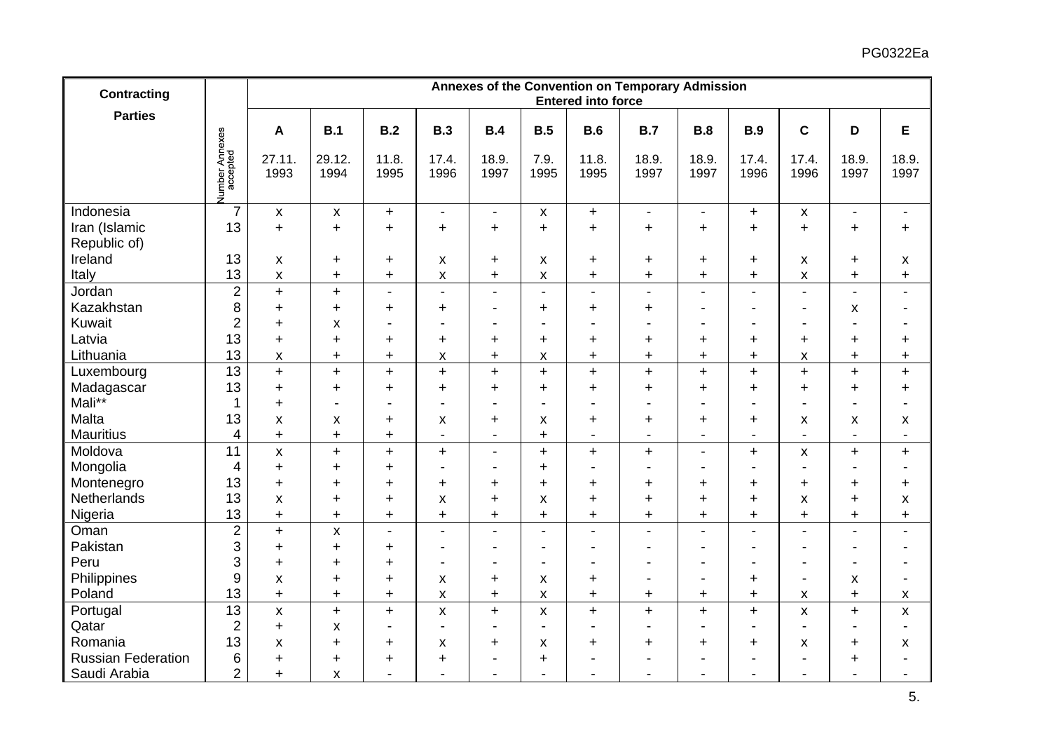| Contracting                   |                                   | Annexes of the Convention on Temporary Admission<br><b>Entered into force</b> |                |                |                    |                          |                          |                          |                |                |                          |                          |                |               |
|-------------------------------|-----------------------------------|-------------------------------------------------------------------------------|----------------|----------------|--------------------|--------------------------|--------------------------|--------------------------|----------------|----------------|--------------------------|--------------------------|----------------|---------------|
| <b>Parties</b>                |                                   |                                                                               |                |                |                    |                          |                          |                          |                |                |                          |                          |                |               |
|                               |                                   | A                                                                             | B.1            | B.2            | <b>B.3</b>         | B.4                      | B.5                      | B.6                      | B.7            | <b>B.8</b>     | <b>B.9</b>               | C                        | D              | E             |
|                               | <b>Jumber Annexes</b><br>accepted | 27.11.<br>1993                                                                | 29.12.<br>1994 | 11.8.<br>1995  | 17.4.<br>1996      | 18.9.<br>1997            | 7.9.<br>1995             | 11.8.<br>1995            | 18.9.<br>1997  | 18.9.<br>1997  | 17.4.<br>1996            | 17.4.<br>1996            | 18.9.<br>1997  | 18.9.<br>1997 |
| Indonesia                     | $\overline{7}$                    | X                                                                             | X              | $+$            | $\blacksquare$     | $\overline{\phantom{a}}$ | X                        | $+$                      | $\blacksquare$ | $\blacksquare$ | $\ddot{}$                | X                        | $\blacksquare$ |               |
| Iran (Islamic<br>Republic of) | 13                                | $\ddot{}$                                                                     | $\ddot{}$      | $\ddot{}$      | $\pmb{+}$          | $\ddot{}$                | $\ddot{}$                | $\ddot{}$                | $\ddot{}$      | $\ddot{}$      | $\ddot{}$                | $\pmb{+}$                | $\pmb{+}$      | $\ddot{}$     |
| Ireland                       | 13                                | X                                                                             | +              | $\ddot{}$      | X                  | $\ddot{}$                | X                        | $\ddot{}$                | $\pm$          | $\ddot{}$      | $\ddot{}$                | X                        | $\pmb{+}$      | X             |
| Italy                         | 13                                | Χ                                                                             | $\ddot{}$      | $\ddot{}$      | $\pmb{\mathsf{X}}$ | $\ddot{}$                | X                        | $\ddagger$               | $\ddot{}$      | $\ddot{}$      | $\ddot{}$                | $\pmb{\mathsf{X}}$       | $\pmb{+}$      | $\ddot{}$     |
| Jordan                        | $\overline{2}$                    | $+$                                                                           | $\ddot{}$      | $\blacksquare$ | $\blacksquare$     | $\overline{a}$           | $\blacksquare$           | $\blacksquare$           | $\blacksquare$ | $\blacksquare$ | $\blacksquare$           | $\blacksquare$           | $\sim$         |               |
| Kazakhstan                    | 8                                 | $\ddot{}$                                                                     | $\ddot{}$      | $\ddot{}$      | +                  | $\overline{\phantom{0}}$ | $+$                      | $\ddot{}$                | $\pm$          |                | $\blacksquare$           | -                        | X              |               |
| <b>Kuwait</b>                 | $\overline{2}$                    | $\ddot{}$                                                                     | X              | $\blacksquare$ |                    | $\blacksquare$           | $\blacksquare$           | $\blacksquare$           |                | $\blacksquare$ | $\overline{\phantom{a}}$ | $\blacksquare$           |                |               |
| Latvia                        | 13                                | $\ddot{}$                                                                     | $\ddot{}$      | $\ddot{}$      | +                  | $\ddot{}$                | $\ddot{}$                | $\ddot{}$                | $\ddot{}$      | +              | +                        | +                        | +              | +             |
| Lithuania                     | 13                                | $\pmb{\mathsf{x}}$                                                            | $\ddot{}$      | $\ddot{}$      | $\pmb{\mathsf{x}}$ | $\ddot{}$                | X                        | $\ddot{}$                | $\ddot{}$      | $\ddot{}$      | $\pmb{+}$                | X                        | $\ddot{}$      | $\pm$         |
| Luxembourg                    | $\overline{13}$                   | $\ddot{}$                                                                     | $\ddot{}$      | $\ddot{}$      | $\ddot{}$          | $+$                      | $+$                      | $\ddot{}$                | $\ddot{}$      | $\ddot{}$      | $\ddot{}$                | $\ddot{}$                | $\ddot{}$      | $\ddot{}$     |
| Madagascar                    | 13                                | $\ddot{}$                                                                     | $\ddot{}$      | $\ddagger$     | +                  | $\ddot{}$                | $\ddot{}$                | $\ddot{}$                | $\ddot{}$      | $\ddot{}$      | $\ddot{}$                | $\ddot{}$                | +              | $\ddot{}$     |
| Mali**                        | 1                                 | $\ddot{}$                                                                     |                |                |                    | $\blacksquare$           | $\overline{\phantom{a}}$ | $\blacksquare$           |                |                | $\blacksquare$           | $\blacksquare$           |                |               |
| Malta                         | 13                                | X                                                                             | X              | $\ddot{}$      | X                  | $\ddot{}$                | X                        | $\ddot{}$                | +              | +              | +                        | X                        | X              | X             |
| <b>Mauritius</b>              | 4                                 | $\ddot{}$                                                                     | $\ddot{}$      | $\ddagger$     | $\blacksquare$     | $\blacksquare$           | $\ddot{}$                | $\blacksquare$           |                |                | $\blacksquare$           | $\overline{\phantom{0}}$ | $\blacksquare$ |               |
| Moldova                       | 11                                | $\mathsf{x}$                                                                  | $\ddot{}$      | $\ddot{}$      | $\pmb{+}$          | $\overline{a}$           | $\ddot{}$                | $\ddot{}$                | $\pmb{+}$      | $\overline{a}$ | $\ddot{}$                | X                        | $\ddot{}$      | $\ddot{}$     |
| Mongolia                      | 4                                 | $+$                                                                           | $\ddot{}$      | $\ddot{}$      |                    | $\overline{a}$           | $\ddot{}$                |                          |                |                |                          |                          |                |               |
| Montenegro                    | 13                                | $\pm$                                                                         | $\ddot{}$      | $\ddot{}$      | +                  | $\ddot{}$                | $\ddot{}$                | $\ddot{}$                | $\pm$          | +              | $\pmb{+}$                | $\ddag$                  | +              | +             |
| Netherlands                   | 13                                | X                                                                             | +              | $\ddot{}$      | X                  | $\ddot{}$                | X                        | $\ddot{}$                | $\pm$          | +              | +                        | X                        | +              | X             |
| Nigeria                       | 13                                | $\ddot{}$                                                                     | $+$            | $+$            | $\ddot{}$          | $+$                      | $+$                      | $\ddot{}$                | $\ddot{}$      | $\ddot{}$      | $\ddot{}$                | $\ddot{}$                | $\ddot{}$      | $\ddot{}$     |
| Oman                          | $\overline{2}$                    | $\ddot{}$                                                                     | $\pmb{\times}$ | $\overline{a}$ | $\blacksquare$     | $\overline{a}$           |                          | $\overline{\phantom{a}}$ | $\blacksquare$ |                |                          | ۰                        |                |               |
| Pakistan                      | 3                                 | $\ddot{}$                                                                     | $\ddot{}$      | $\ddot{}$      |                    |                          | L,                       | $\blacksquare$           |                |                | $\overline{\phantom{a}}$ |                          |                |               |
| Peru                          | 3                                 | $\ddag$                                                                       | $\ddot{}$      | $\ddot{}$      |                    | $\blacksquare$           | $\blacksquare$           | $\blacksquare$           |                |                | $\blacksquare$           |                          |                |               |
| Philippines                   | 9                                 | X                                                                             | +              | $\ddot{}$      | $\pmb{\mathsf{X}}$ | $\ddot{}$                | X                        | $\ddag$                  |                | ٠              | +                        | $\overline{a}$           | X              |               |
| Poland                        | 13                                | $\ddot{}$                                                                     | $\ddot{}$      | $\ddot{}$      | X                  | $\ddot{}$                | X                        | $\ddot{}$                | $\pmb{+}$      | $\ddot{}$      | $\ddot{}$                | X                        | $\pmb{+}$      | X             |
| Portugal                      | $\overline{13}$                   | X                                                                             | $\ddot{}$      | $\ddot{}$      | $\pmb{\times}$     | $\ddot{}$                | $\pmb{\times}$           | $\ddot{}$                | $\ddot{}$      | $\ddot{}$      | $\ddot{}$                | $\pmb{\mathsf{X}}$       | $\ddot{}$      | X             |
| Qatar                         | $\overline{2}$                    | $\ddot{}$                                                                     | X              | $\blacksquare$ |                    | $\overline{a}$           | $\blacksquare$           | $\overline{\phantom{a}}$ |                | $\blacksquare$ | $\overline{\phantom{a}}$ | $\blacksquare$           |                |               |
| Romania                       | 13                                | X                                                                             | $\ddot{}$      | $\ddot{}$      | X                  | $\ddot{}$                | X                        | $\ddot{}$                | $\pm$          | $\ddot{}$      | $\ddot{}$                | X                        | +              | X             |
| <b>Russian Federation</b>     | 6                                 | $\ddot{}$                                                                     | $\ddot{}$      | $\ddot{}$      | $\pmb{+}$          |                          | $\ddot{}$                |                          |                |                |                          |                          | +              |               |
| Saudi Arabia                  | $\overline{2}$                    | $+$                                                                           | X              | $\blacksquare$ |                    | ۰                        |                          |                          |                |                |                          | $\blacksquare$           |                |               |